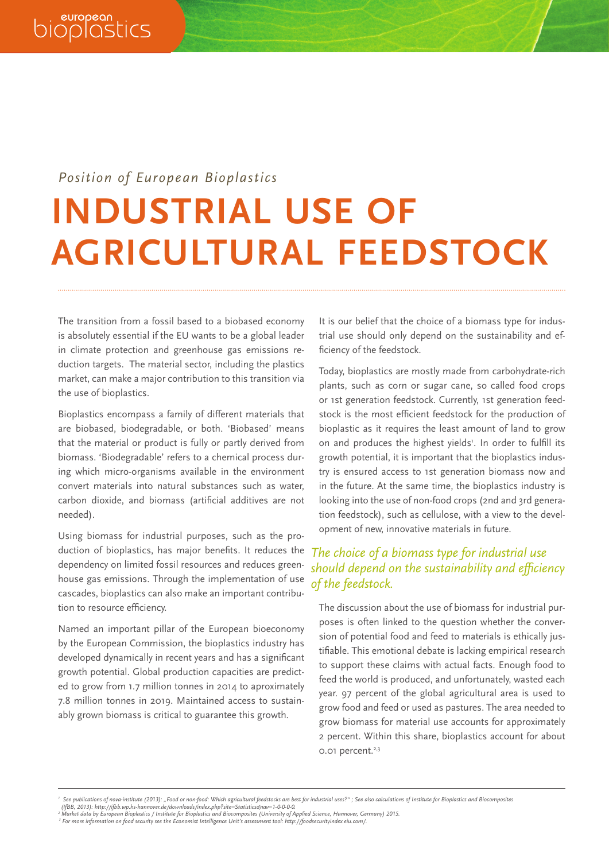## *Position of European Bioplastics*

#### **INDUSTRIAL USE OF AGRICULTURAL FEEDSTOCK** ww.european-bioplastics.org/www.european-bioplastics.org/ *e-mail web* +49.30.28 48 23 50 +49.30.28 48 23 59 *phone fax e-mail e-mail web*

The transition from a fossil based to a biobased economy is absolutely essential if the EU wants to be a global leader in climate protection and greenhouse gas emissions reduction targets. The material sector, including the plastics market, can make a major contribution to this transition via the use of bioplastics.

Bioplastics encompass a family of different materials that are biobased, biodegradable, or both. 'Biobased' means that the material or product is fully or partly derived from biomass. 'Biodegradable' refers to a chemical process during which micro-organisms available in the environment convert materials into natural substances such as water, carbon dioxide, and biomass (artificial additives are not needed).

Using biomass for industrial purposes, such as the production of bioplastics, has major benefits. It reduces the dependency on limited fossil resources and reduces greenhouse gas emissions. Through the implementation of use cascades, bioplastics can also make an important contribution to resource efficiency.

Named an important pillar of the European bioeconomy by the European Commission, the bioplastics industry has developed dynamically in recent years and has a significant growth potential. Global production capacities are predicted to grow from 1.7 million tonnes in 2014 to aproximately 7.8 million tonnes in 2019. Maintained access to sustainably grown biomass is critical to guarantee this growth.

It is our belief that the choice of a biomass type for industrial use should only depend on the sustainability and efficiency of the feedstock.

Today, bioplastics are mostly made from carbohydrate-rich plants, such as corn or sugar cane, so called food crops or 1st generation feedstock. Currently, 1st generation feedstock is the most efficient feedstock for the production of bioplastic as it requires the least amount of land to grow on and produces the highest yields'. In order to fulfill its growth potential, it is important that the bioplastics industry is ensured access to 1st generation biomass now and in the future. At the same time, the bioplastics industry is looking into the use of non-food crops (2nd and 3rd generation feedstock), such as cellulose, with a view to the development of new, innovative materials in future.

### *The choice of a biomass type for industrial use should depend on the sustainability and efficiency of the feedstock.*

The discussion about the use of biomass for industrial purposes is often linked to the question whether the conversion of potential food and feed to materials is ethically justifiable. This emotional debate is lacking empirical research to support these claims with actual facts. Enough food to feed the world is produced, and unfortunately, wasted each year. 97 percent of the global agricultural area is used to grow food and feed or used as pastures. The area needed to grow biomass for material use accounts for approximately 2 percent. Within this share, bioplastics account for about 0.01 percent.<sup>2,3</sup>

HypoVereinsbank Rosenheim, BLZ 711 200 77, Konto 6356800, IBAN DE26 7112 0077 0006 3568 00, BIC/SWIFT HYVEDEMM448

HypoVereinsbank Rosenheim, BLZ 711 200 77, Konto 6356800, IBAN DE26 7112 0077 0006 3568 00, BIC/SWIFT HYVEDEMM448

*<sup>1</sup>* 'See publications of nova-institute (2013): "Food or non-food: Which agricultural feedstocks are best for industrial uses?" ; See also calculations of Institute for Bioplastics and Biocomposites<br>(IfBB, 2013): http://ifbb

Narket aata by European Biopiastics / Institute for Biopiastics and Biocomposites (University of "<br>I For more information on food security see the Economist Intelligence Unit's assessment tool; ht: ket aata by European Biopiastics / institute for Biopiastics and Biocomposites (University of Applied<br>more information on food security see the Economist Intelligence Unit's assessment tool: http://foo <sup>2</sup> Market data by European Bioplastics / Institute for Bioplastics and Biocomposites (University of Applied Science, Hannover, Germany) 2015.<br><sup>3</sup> For more information on food security see the Economist Intelligence Unit's